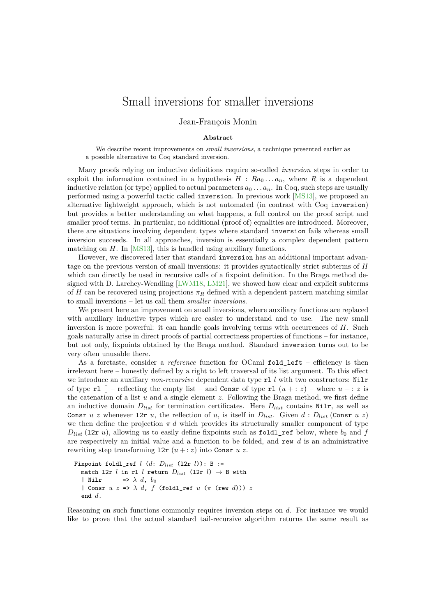## Small inversions for smaller inversions

## Jean-François Monin

## **Abstract**

We describe recent improvements on *small inversions*, a technique presented earlier as a possible alternative to Coq standard inversion.

Many proofs relying on inductive definitions require so-called *inversion* steps in order to exploit the information contained in a hypothesis  $H : Ra_0 \dots a_n$ , where R is a dependent inductive relation (or type) applied to actual parameters  $a_0 \ldots a_n$ . In Coq, such steps are usually performed using a powerful tactic called inversion. In previous work [\[MS13\]](#page-1-0), we proposed an alternative lightweight approach, which is not automated (in contrast with Coq inversion) but provides a better understanding on what happens, a full control on the proof script and smaller proof terms. In particular, no additional (proof of) equalities are introduced. Moreover, there are situations involving dependent types where standard inversion fails whereas small inversion succeeds. In all approaches, inversion is essentially a complex dependent pattern matching on *H*. In [\[MS13\]](#page-1-0), this is handled using auxiliary functions.

However, we discovered later that standard inversion has an additional important advantage on the previous version of small inversions: it provides syntactically strict subterms of *H* which can directly be used in recursive calls of a fixpoint definition. In the Braga method designed with D. Larchey-Wendling [\[LWM18,](#page-1-1) [LM21\]](#page-1-2), we showed how clear and explicit subterms of *H* can be recovered using projections  $\pi_R$  defined with a dependent pattern matching similar to small inversions – let us call them *smaller inversions*.

We present here an improvement on small inversions, where auxiliary functions are replaced with auxiliary inductive types which are easier to understand and to use. The new small inversion is more powerful: it can handle goals involving terms with occurrences of *H*. Such goals naturally arise in direct proofs of partial correctness properties of functions – for instance, but not only, fixpoints obtained by the Braga method. Standard inversion turns out to be very often unusable there.

As a foretaste, consider a *reference* function for OCaml fold\_left – efficiency is then irrelevant here – honestly defined by a right to left traversal of its list argument. To this effect we introduce an auxiliary *non-recursive* dependent data type rl *l* with two constructors: Nilr of type rl  $\lbrack \rbrack$  – reflecting the empty list – and Consr of type rl  $(u + : z)$  – where  $u + : z$  is the catenation of a list *u* and a single element *z*. Following the Braga method, we first define an inductive domain  $D_{list}$  for termination certificates. Here  $D_{list}$  contains Nilr, as well as Consr *u z* whenever 12r *u*, the reflection of *u*, is itself in  $D_{list}$ . Given  $d : D_{list}$  (Consr  $u z$ ) we then define the projection  $\pi d$  which provides its structurally smaller component of type  $D_{list}$  (12r *u*), allowing us to easily define fixpoints such as foldl\_ref below, where  $b_0$  and *f* are respectively an initial value and a function to be folded, and rew *d* is an administrative rewriting step transforming  $12r (u +: z)$  into Consr  $u z$ .

```
Fixpoint foldl_ref l (d: Dlist (l2r l)): B :=
match 12r l in r1 l return D_{list} (12r l) \rightarrow B with
| Nilr \Rightarrow \lambda \, d, \, b_0| Consr u \ z \Rightarrow \lambda \ d, f (foldl_ref u \ (\pi \ (\text{rew } d)) \ zend d.
```
Reasoning on such functions commonly requires inversion steps on *d*. For instance we would like to prove that the actual standard tail-recursive algorithm returns the same result as